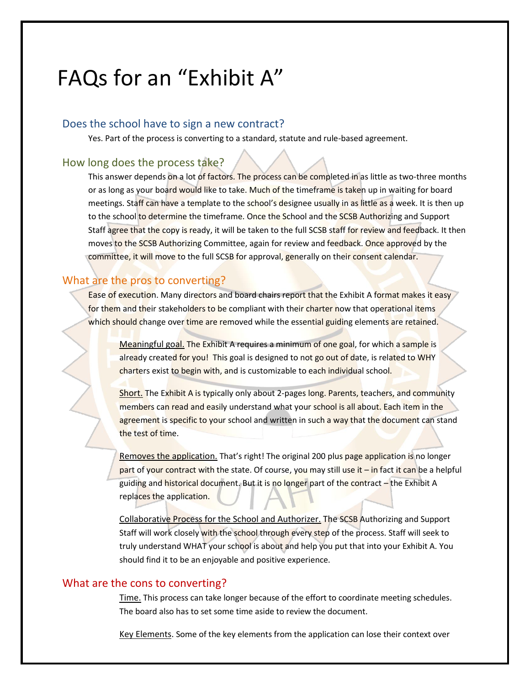# FAQs for an "Exhibit A"

#### Does the school have to sign a new contract?

Yes. Part of the process is converting to a standard, statute and rule-based agreement.

## How long does the process take?

This answer depends on a lot of factors. The process can be completed in as little as two-three months or as long as your board would like to take. Much of the timeframe is taken up in waiting for board meetings. Staff can have a template to the school's designee usually in as little as a week. It is then up to the school to determine the timeframe. Once the School and the SCSB Authorizing and Support Staff agree that the copy is ready, it will be taken to the full SCSB staff for review and feedback. It then moves to the SCSB Authorizing Committee, again for review and feedback. Once approved by the committee, it will move to the full SCSB for approval, generally on their consent calendar.

# What are the pros to converting?

Ease of execution. Many directors and board chairs report that the Exhibit A format makes it easy for them and their stakeholders to be compliant with their charter now that operational items which should change over time are removed while the essential guiding elements are retained.

Meaningful goal. The Exhibit A requires a minimum of one goal, for which a sample is already created for you! This goal is designed to not go out of date, is related to WHY charters exist to begin with, and is customizable to each individual school.

Short. The Exhibit A is typically only about 2-pages long. Parents, teachers, and community members can read and easily understand what your school is all about. Each item in the agreement is specific to your school and written in such a way that the document can stand the test of time.

Removes the application. That's right! The original 200 plus page application is no longer part of your contract with the state. Of course, you may still use it – in fact it can be a helpful guiding and historical document. But it is no longer part of the contract - the Exhibit A replaces the application.

Collaborative Process for the School and Authorizer. The SCSB Authorizing and Support Staff will work closely with the school through every step of the process. Staff will seek to truly understand WHAT your school is about and help you put that into your Exhibit A. You should find it to be an enjoyable and positive experience.

#### What are the cons to converting?

Time. This process can take longer because of the effort to coordinate meeting schedules. The board also has to set some time aside to review the document.

Key Elements. Some of the key elements from the application can lose their context over